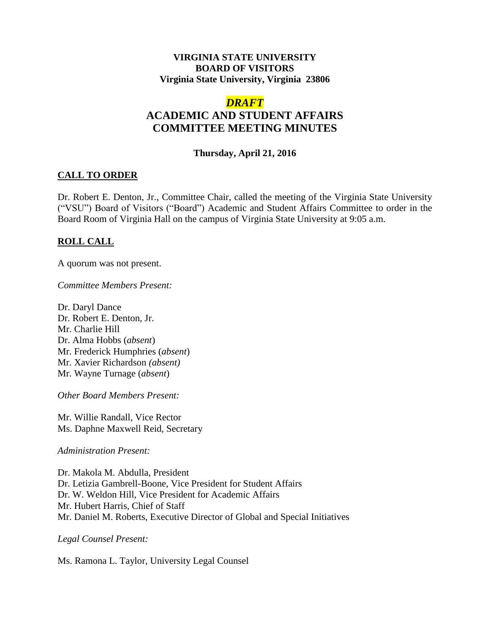### **VIRGINIA STATE UNIVERSITY BOARD OF VISITORS Virginia State University, Virginia 23806**

# *DRAFT*

# **ACADEMIC AND STUDENT AFFAIRS COMMITTEE MEETING MINUTES**

### **Thursday, April 21, 2016**

## **CALL TO ORDER**

Dr. Robert E. Denton, Jr., Committee Chair, called the meeting of the Virginia State University ("VSU") Board of Visitors ("Board") Academic and Student Affairs Committee to order in the Board Room of Virginia Hall on the campus of Virginia State University at 9:05 a.m.

## **ROLL CALL**

A quorum was not present.

*Committee Members Present:*

Dr. Daryl Dance Dr. Robert E. Denton, Jr. Mr. Charlie Hill Dr. Alma Hobbs (*absent*) Mr. Frederick Humphries (*absent*) Mr. Xavier Richardson *(absent)* Mr. Wayne Turnage (*absent*)

*Other Board Members Present:*

Mr. Willie Randall, Vice Rector Ms. Daphne Maxwell Reid, Secretary

*Administration Present:*

Dr. Makola M. Abdulla, President Dr. Letizia Gambrell-Boone, Vice President for Student Affairs Dr. W. Weldon Hill, Vice President for Academic Affairs Mr. Hubert Harris, Chief of Staff Mr. Daniel M. Roberts, Executive Director of Global and Special Initiatives

*Legal Counsel Present:*

Ms. Ramona L. Taylor, University Legal Counsel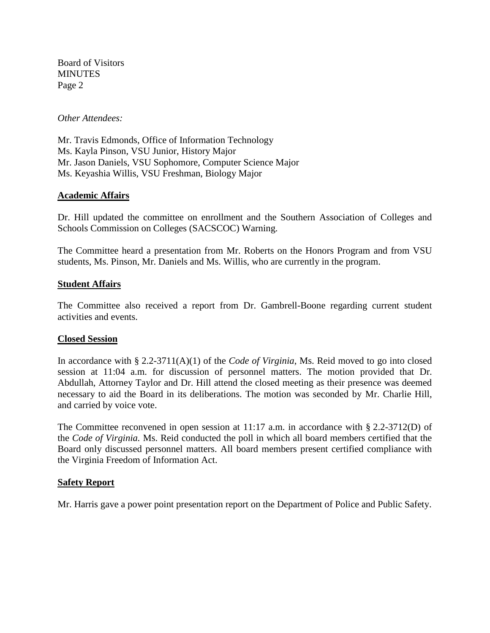Board of Visitors **MINUTES** Page 2

*Other Attendees:*

Mr. Travis Edmonds, Office of Information Technology Ms. Kayla Pinson, VSU Junior, History Major Mr. Jason Daniels, VSU Sophomore, Computer Science Major Ms. Keyashia Willis, VSU Freshman, Biology Major

#### **Academic Affairs**

Dr. Hill updated the committee on enrollment and the Southern Association of Colleges and Schools Commission on Colleges (SACSCOC) Warning.

The Committee heard a presentation from Mr. Roberts on the Honors Program and from VSU students, Ms. Pinson, Mr. Daniels and Ms. Willis, who are currently in the program.

#### **Student Affairs**

The Committee also received a report from Dr. Gambrell-Boone regarding current student activities and events.

#### **Closed Session**

In accordance with § 2.2-3711(A)(1) of the *Code of Virginia*, Ms. Reid moved to go into closed session at 11:04 a.m. for discussion of personnel matters. The motion provided that Dr. Abdullah, Attorney Taylor and Dr. Hill attend the closed meeting as their presence was deemed necessary to aid the Board in its deliberations. The motion was seconded by Mr. Charlie Hill, and carried by voice vote.

The Committee reconvened in open session at 11:17 a.m. in accordance with § 2.2-3712(D) of the *Code of Virginia.* Ms. Reid conducted the poll in which all board members certified that the Board only discussed personnel matters. All board members present certified compliance with the Virginia Freedom of Information Act.

#### **Safety Report**

Mr. Harris gave a power point presentation report on the Department of Police and Public Safety.